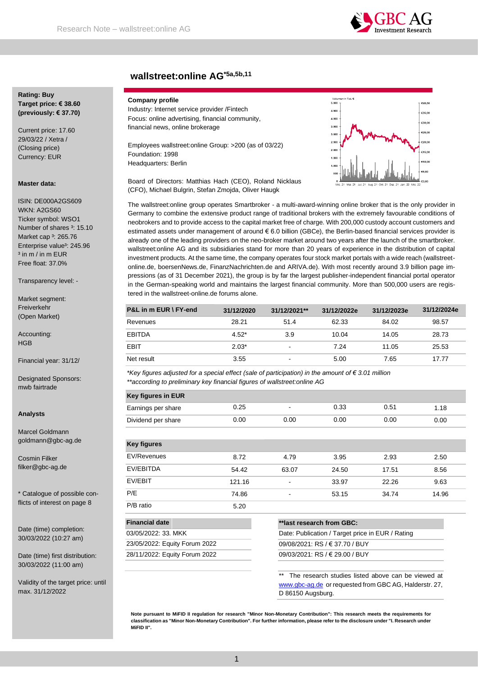

# **wallstreet:online AG\*5a,5b,11**

# **Rating: Buy Target price: € 38.60 (previously: € 37.70)**

Current price: 17.60 29/03/22 / Xetra / (Closing price) Currency: EUR

#### **Master data:**

ISIN: DE000A2GS609 WKN: A2GS60 Ticker symbol: WSO1 Number of shares <sup>3</sup>: 15.10 Market cap <sup>3</sup>: 265.76 Enterprise value<sup>3</sup>: 245.96  $3$  in m / in m FUR Free float: 37.0%

Transparency level: -

Market segment: Freiverkehr (Open Market)

Accounting: **HGB** 

Financial year: 31/12/

Designated Sponsors: mwb fairtrade

#### **Analysts**

Marcel Goldmann goldmann@gbc-ag.de

Cosmin Filker filker@gbc-ag.de

\* Catalogue of possible conflicts of interest on page 8

Date (time) completion: 30/03/2022 (10:27 am)

Date (time) first distribution: 30/03/2022 (11:00 am)

Validity of the target price: until max. 31/12/2022

# **Company profile**

Industry: Internet service provider /Fintech Focus: online advertising, financial community, financial news, online brokerage

Employees wallstreet:online Group: >200 (as of 03/22) Foundation: 1998 Headquarters: Berlin



Board of Directors: Matthias Hach (CEO), Roland Nicklaus (CFO), Michael Bulgrin, Stefan Zmojda, Oliver Haugk

The wallstreet:online group operates Smartbroker - a multi-award-winning online broker that is the only provider in Germany to combine the extensive product range of traditional brokers with the extremely favourable conditions of neobrokers and to provide access to the capital market free of charge. With 200,000 custody account customers and estimated assets under management of around € 6.0 billion (GBCe), the Berlin-based financial services provider is already one of the leading providers on the neo-broker market around two years after the launch of the smartbroker. wallstreet:online AG and its subsidiaries stand for more than 20 years of experience in the distribution of capital investment products. At the same time, the company operates four stock market portals with a wide reach (wallstreetonline.de, boersenNews.de, FinanzNachrichten.de and ARIVA.de). With most recently around 3.9 billion page impressions (as of 31 December 2021), the group is by far the largest publisher-independent financial portal operator in the German-speaking world and maintains the largest financial community. More than 500,000 users are registered in the wallstreet-online.de forums alone.

| <b>P&amp;L in m EUR \ FY-end</b> | 31/12/2020 | 31/12/2021**             | 31/12/2022e | 31/12/2023e | 31/12/2024e |
|----------------------------------|------------|--------------------------|-------------|-------------|-------------|
| Revenues                         | 28.21      | 51.4                     | 62.33       | 84.02       | 98.57       |
| <b>EBITDA</b>                    | $4.52*$    | 3.9                      | 10.04       | 14.05       | 28.73       |
| <b>EBIT</b>                      | $2.03*$    | $\,$                     | 7.24        | 11.05       | 25.53       |
| Net result                       | 3.55       | $\overline{\phantom{a}}$ | 5.00        | 7.65        | 17.77       |

*\*Key figures adjusted for a special effect (sale of participation) in the amount of € 3.01 million \*\*according to preliminary key financial figures of wallstreet:online AG*

| <b>Key figures in EUR</b> |      |        |      |      |      |
|---------------------------|------|--------|------|------|------|
| Earnings per share        | 0.25 | $\sim$ | 0.33 | 0.51 | 1.18 |
| Dividend per share        | 0.00 | 0.00   | 0.00 | 0.00 | 0.00 |

| <b>Key figures</b> |        |                |       |       |       |
|--------------------|--------|----------------|-------|-------|-------|
| EV/Revenues        | 8.72   | 4.79           | 3.95  | 2.93  | 2.50  |
| EV/EBITDA          | 54.42  | 63.07          | 24.50 | 17.51 | 8.56  |
| EV/EBIT            | 121.16 | $\blacksquare$ | 33.97 | 22.26 | 9.63  |
| P/E                | 74.86  | $\,$           | 53.15 | 34.74 | 14.96 |
| P/B ratio          | 5.20   |                |       |       |       |

| <b>Financial date</b>         |
|-------------------------------|
| 03/05/2022: 33. MKK           |
| 23/05/2022: Equity Forum 2022 |
| 28/11/2022: Equity Forum 2022 |
|                               |

**\*\*last research from GBC:**

Date: Publication / Target price in EUR / Rating 09/08/2021: RS / € 37.70 / BUY 09/03/2021: RS / € 29.00 / BUY

The research studies listed above can be viewed at [www.gbc-ag.de](http://www.gbc-ag.de/) or requested from GBC AG, Halderstr. 27, D 86150 Augsburg.

**Note pursuant to MiFID II regulation for research "Minor Non-Monetary Contribution": This research meets the requirements for classification as "Minor Non-Monetary Contribution". For further information, please refer to the disclosure under "I. Research under MiFID II".**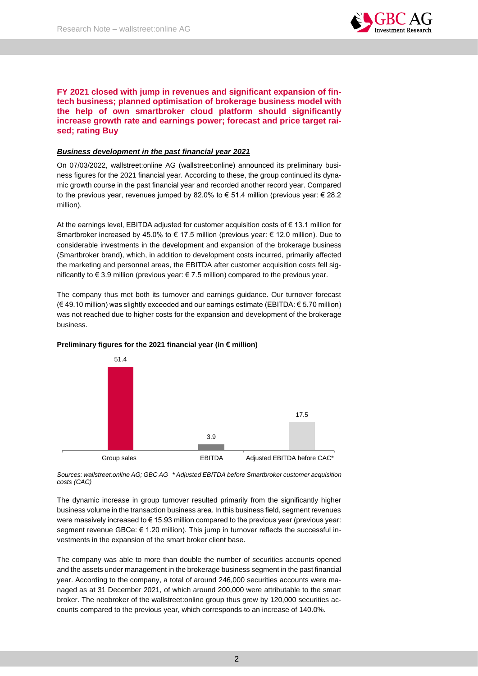

# **FY 2021 closed with jump in revenues and significant expansion of fintech business; planned optimisation of brokerage business model with the help of own smartbroker cloud platform should significantly increase growth rate and earnings power; forecast and price target raised; rating Buy**

# *Business development in the past financial year 2021*

On 07/03/2022, wallstreet:online AG (wallstreet:online) announced its preliminary business figures for the 2021 financial year. According to these, the group continued its dynamic growth course in the past financial year and recorded another record year. Compared to the previous year, revenues jumped by 82.0% to € 51.4 million (previous year:  $€ 28.2$ million).

At the earnings level, EBITDA adjusted for customer acquisition costs of  $\epsilon$  13.1 million for Smartbroker increased by 45.0% to  $\in$  17.5 million (previous year:  $\in$  12.0 million). Due to considerable investments in the development and expansion of the brokerage business (Smartbroker brand), which, in addition to development costs incurred, primarily affected the marketing and personnel areas, the EBITDA after customer acquisition costs fell significantly to € 3.9 million (previous year: € 7.5 million) compared to the previous year.

The company thus met both its turnover and earnings guidance. Our turnover forecast (€ 49.10 million) was slightly exceeded and our earnings estimate (EBITDA: € 5.70 million) was not reached due to higher costs for the expansion and development of the brokerage business.



# **Preliminary figures for the 2021 financial year (in € million)**

*Sources: wallstreet:online AG; GBC AG \* Adjusted EBITDA before Smartbroker customer acquisition costs (CAC)*

The dynamic increase in group turnover resulted primarily from the significantly higher business volume in the transaction business area. In this business field, segment revenues were massively increased to € 15.93 million compared to the previous year (previous year: segment revenue GBCe: € 1.20 million). This jump in turnover reflects the successful investments in the expansion of the smart broker client base.

The company was able to more than double the number of securities accounts opened and the assets under management in the brokerage business segment in the past financial year. According to the company, a total of around 246,000 securities accounts were managed as at 31 December 2021, of which around 200,000 were attributable to the smart broker. The neobroker of the wallstreet:online group thus grew by 120,000 securities accounts compared to the previous year, which corresponds to an increase of 140.0%.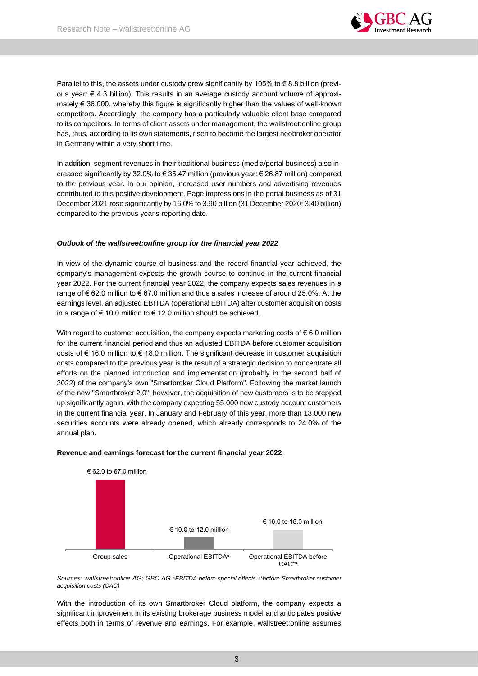

Parallel to this, the assets under custody grew significantly by 105% to  $\epsilon$  8.8 billion (previous year:  $\epsilon$  4.3 billion). This results in an average custody account volume of approximately € 36,000, whereby this figure is significantly higher than the values of well-known competitors. Accordingly, the company has a particularly valuable client base compared to its competitors. In terms of client assets under management, the wallstreet:online group has, thus, according to its own statements, risen to become the largest neobroker operator in Germany within a very short time.

In addition, segment revenues in their traditional business (media/portal business) also increased significantly by 32.0% to € 35.47 million (previous year: € 26.87 million) compared to the previous year. In our opinion, increased user numbers and advertising revenues contributed to this positive development. Page impressions in the portal business as of 31 December 2021 rose significantly by 16.0% to 3.90 billion (31 December 2020: 3.40 billion) compared to the previous year's reporting date.

# *Outlook of the wallstreet:online group for the financial year 2022*

In view of the dynamic course of business and the record financial year achieved, the company's management expects the growth course to continue in the current financial year 2022. For the current financial year 2022, the company expects sales revenues in a range of € 62.0 million to € 67.0 million and thus a sales increase of around 25.0%. At the earnings level, an adjusted EBITDA (operational EBITDA) after customer acquisition costs in a range of € 10.0 million to € 12.0 million should be achieved.

With regard to customer acquisition, the company expects marketing costs of  $\epsilon$  6.0 million for the current financial period and thus an adjusted EBITDA before customer acquisition costs of  $\epsilon$  16.0 million to  $\epsilon$  18.0 million. The significant decrease in customer acquisition costs compared to the previous year is the result of a strategic decision to concentrate all efforts on the planned introduction and implementation (probably in the second half of 2022) of the company's own "Smartbroker Cloud Platform". Following the market launch of the new "Smartbroker 2.0", however, the acquisition of new customers is to be stepped up significantly again, with the company expecting 55,000 new custody account customers in the current financial year. In January and February of this year, more than 13,000 new securities accounts were already opened, which already corresponds to 24.0% of the annual plan.



# **Revenue and earnings forecast for the current financial year 2022**

*Sources: wallstreet:online AG; GBC AG \*EBITDA before special effects \*\*before Smartbroker customer acquisition costs (CAC)*

With the introduction of its own Smartbroker Cloud platform, the company expects a significant improvement in its existing brokerage business model and anticipates positive effects both in terms of revenue and earnings. For example, wallstreet:online assumes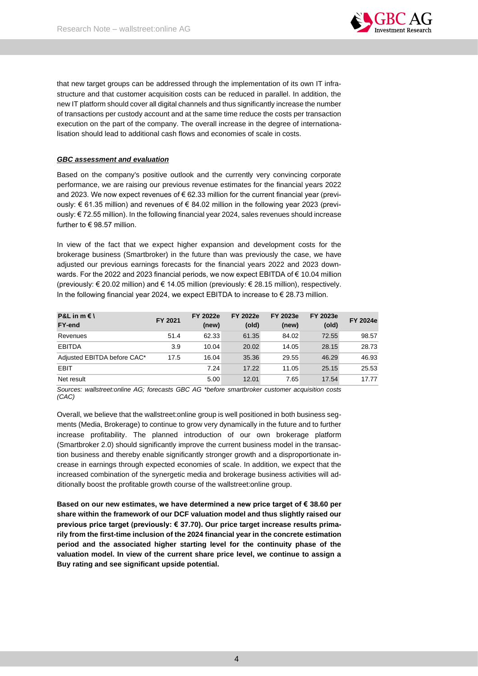

that new target groups can be addressed through the implementation of its own IT infrastructure and that customer acquisition costs can be reduced in parallel. In addition, the new IT platform should cover all digital channels and thus significantly increase the number of transactions per custody account and at the same time reduce the costs per transaction execution on the part of the company. The overall increase in the degree of internationalisation should lead to additional cash flows and economies of scale in costs.

# *GBC assessment and evaluation*

Based on the company's positive outlook and the currently very convincing corporate performance, we are raising our previous revenue estimates for the financial years 2022 and 2023. We now expect revenues of  $\epsilon$  62.33 million for the current financial year (previously: € 61.35 million) and revenues of € 84.02 million in the following year 2023 (previously: € 72.55 million). In the following financial year 2024, sales revenues should increase further to  $\in$  98.57 million.

In view of the fact that we expect higher expansion and development costs for the brokerage business (Smartbroker) in the future than was previously the case, we have adjusted our previous earnings forecasts for the financial years 2022 and 2023 downwards. For the 2022 and 2023 financial periods, we now expect EBITDA of € 10.04 million (previously: € 20.02 million) and € 14.05 million (previously: € 28.15 million), respectively. In the following financial year 2024, we expect EBITDA to increase to  $\epsilon$  28.73 million.

| <b>P&amp;L</b> in $m \in I$<br><b>FY-end</b> | FY 2021 | FY 2022e<br>(new) | FY 2022e<br>(old) | FY 2023e<br>(new) | <b>FY 2023e</b><br>(old) | FY 2024e |
|----------------------------------------------|---------|-------------------|-------------------|-------------------|--------------------------|----------|
| Revenues                                     | 51.4    | 62.33             | 61.35             | 84.02             | 72.55                    | 98.57    |
| <b>EBITDA</b>                                | 3.9     | 10.04             | 20.02             | 14.05             | 28.15                    | 28.73    |
| Adjusted EBITDA before CAC*                  | 17.5    | 16.04             | 35.36             | 29.55             | 46.29                    | 46.93    |
| EBIT                                         |         | 7.24              | 17.22             | 11.05             | 25.15                    | 25.53    |
| Net result                                   |         | 5.00              | 12.01             | 7.65              | 17.54                    | 17.77    |

*Sources: wallstreet:online AG; forecasts GBC AG \*before smartbroker customer acquisition costs (CAC)*

Overall, we believe that the wallstreet:online group is well positioned in both business segments (Media, Brokerage) to continue to grow very dynamically in the future and to further increase profitability. The planned introduction of our own brokerage platform (Smartbroker 2.0) should significantly improve the current business model in the transaction business and thereby enable significantly stronger growth and a disproportionate increase in earnings through expected economies of scale. In addition, we expect that the increased combination of the synergetic media and brokerage business activities will additionally boost the profitable growth course of the wallstreet:online group.

**Based on our new estimates, we have determined a new price target of € 38.60 per share within the framework of our DCF valuation model and thus slightly raised our previous price target (previously: € 37.70). Our price target increase results primarily from the first-time inclusion of the 2024 financial year in the concrete estimation period and the associated higher starting level for the continuity phase of the valuation model. In view of the current share price level, we continue to assign a Buy rating and see significant upside potential.**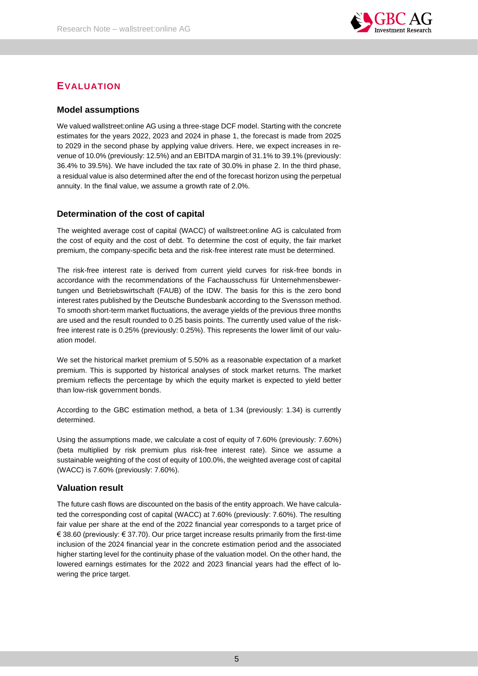

# **EVALUATION**

# **Model assumptions**

We valued wallstreet:online AG using a three-stage DCF model. Starting with the concrete estimates for the years 2022, 2023 and 2024 in phase 1, the forecast is made from 2025 to 2029 in the second phase by applying value drivers. Here, we expect increases in revenue of 10.0% (previously: 12.5%) and an EBITDA margin of 31.1% to 39.1% (previously: 36.4% to 39.5%). We have included the tax rate of 30.0% in phase 2. In the third phase, a residual value is also determined after the end of the forecast horizon using the perpetual annuity. In the final value, we assume a growth rate of 2.0%.

# **Determination of the cost of capital**

The weighted average cost of capital (WACC) of wallstreet:online AG is calculated from the cost of equity and the cost of debt. To determine the cost of equity, the fair market premium, the company-specific beta and the risk-free interest rate must be determined.

The risk-free interest rate is derived from current yield curves for risk-free bonds in accordance with the recommendations of the Fachausschuss für Unternehmensbewertungen und Betriebswirtschaft (FAUB) of the IDW. The basis for this is the zero bond interest rates published by the Deutsche Bundesbank according to the Svensson method. To smooth short-term market fluctuations, the average yields of the previous three months are used and the result rounded to 0.25 basis points. The currently used value of the riskfree interest rate is 0.25% (previously: 0.25%). This represents the lower limit of our valuation model.

We set the historical market premium of 5.50% as a reasonable expectation of a market premium. This is supported by historical analyses of stock market returns. The market premium reflects the percentage by which the equity market is expected to yield better than low-risk government bonds.

According to the GBC estimation method, a beta of 1.34 (previously: 1.34) is currently determined.

Using the assumptions made, we calculate a cost of equity of 7.60% (previously: 7.60%) (beta multiplied by risk premium plus risk-free interest rate). Since we assume a sustainable weighting of the cost of equity of 100.0%, the weighted average cost of capital (WACC) is 7.60% (previously: 7.60%).

# **Valuation result**

The future cash flows are discounted on the basis of the entity approach. We have calculated the corresponding cost of capital (WACC) at 7.60% (previously: 7.60%). The resulting fair value per share at the end of the 2022 financial year corresponds to a target price of € 38.60 (previously: € 37.70). Our price target increase results primarily from the first-time inclusion of the 2024 financial year in the concrete estimation period and the associated higher starting level for the continuity phase of the valuation model. On the other hand, the lowered earnings estimates for the 2022 and 2023 financial years had the effect of lowering the price target.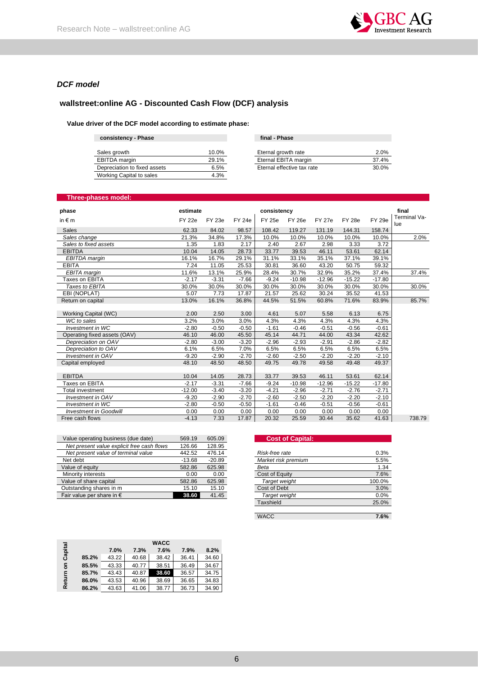

# *DCF model*

# **wallstreet:online AG - Discounted Cash Flow (DCF) analysis**

# **Value driver of the DCF model according to estimate phase:**

| consistency - Phase          |       | final - Phase              |       |
|------------------------------|-------|----------------------------|-------|
| Sales growth                 | 10.0% | Eternal growth rate        | 2.0%  |
| EBITDA margin                | 29.1% | Eternal EBITA margin       | 37.4% |
| Depreciation to fixed assets | 6.5%  | Eternal effective tax rate | 30.0% |
| Working Capital to sales     | 4.3%  |                            |       |

# **Three-phases model:**

| phase                         | estimate      |               |               | consistency   |               |               |               |               | final               |
|-------------------------------|---------------|---------------|---------------|---------------|---------------|---------------|---------------|---------------|---------------------|
| in $\notin$ m                 | <b>FY 22e</b> | <b>FY 23e</b> | <b>FY 24e</b> | <b>FY 25e</b> | <b>FY 26e</b> | <b>FY 27e</b> | <b>FY 28e</b> | <b>FY 29e</b> | Terminal Va-<br>lue |
| <b>Sales</b>                  | 62.33         | 84.02         | 98.57         | 108.42        | 119.27        | 131.19        | 144.31        | 158.74        |                     |
| Sales change                  | 21.3%         | 34.8%         | 17.3%         | 10.0%         | 10.0%         | 10.0%         | 10.0%         | 10.0%         | 2.0%                |
| Sales to fixed assets         | 1.35          | 1.83          | 2.17          | 2.40          | 2.67          | 2.98          | 3.33          | 3.72          |                     |
| <b>EBITDA</b>                 | 10.04         | 14.05         | 28.73         | 33.77         | 39.53         | 46.11         | 53.61         | 62.14         |                     |
| EBITDA margin                 | 16.1%         | 16.7%         | 29.1%         | 31.1%         | 33.1%         | 35.1%         | 37.1%         | 39.1%         |                     |
| <b>EBITA</b>                  | 7.24          | 11.05         | 25.53         | 30.81         | 36.60         | 43.20         | 50.75         | 59.32         |                     |
| <b>EBITA</b> margin           | 11.6%         | 13.1%         | 25.9%         | 28.4%         | 30.7%         | 32.9%         | 35.2%         | 37.4%         | 37.4%               |
| Taxes on EBITA                | $-2.17$       | $-3.31$       | $-7.66$       | $-9.24$       | $-10.98$      | $-12.96$      | $-15.22$      | $-17.80$      |                     |
| Taxes to EBITA                | 30.0%         | 30.0%         | 30.0%         | 30.0%         | 30.0%         | 30.0%         | 30.0%         | 30.0%         | 30.0%               |
| EBI (NOPLAT)                  | 5.07          | 7.73          | 17.87         | 21.57         | 25.62         | 30.24         | 35.52         | 41.53         |                     |
| Return on capital             | 13.0%         | 16.1%         | 36.8%         | 44.5%         | 51.5%         | 60.8%         | 71.6%         | 83.9%         | 85.7%               |
|                               |               |               |               |               |               |               |               |               |                     |
| Working Capital (WC)          | 2.00          | 2.50          | 3.00          | 4.61          | 5.07          | 5.58          | 6.13          | 6.75          |                     |
| WC to sales                   | 3.2%          | 3.0%          | 3.0%          | 4.3%          | 4.3%          | 4.3%          | 4.3%          | 4.3%          |                     |
| Investment in WC              | $-2.80$       | $-0.50$       | $-0.50$       | $-1.61$       | $-0.46$       | $-0.51$       | $-0.56$       | $-0.61$       |                     |
| Operating fixed assets (OAV)  | 46.10         | 46.00         | 45.50         | 45.14         | 44.71         | 44.00         | 43.34         | 42.62         |                     |
| Depreciation on OAV           | $-2.80$       | $-3.00$       | $-3.20$       | $-2.96$       | $-2.93$       | $-2.91$       | $-2.86$       | $-2.82$       |                     |
| Depreciation to OAV           | 6.1%          | 6.5%          | 7.0%          | 6.5%          | 6.5%          | 6.5%          | 6.5%          | 6.5%          |                     |
| Investment in OAV             | $-9.20$       | $-2.90$       | $-2.70$       | $-2.60$       | $-2.50$       | $-2.20$       | $-2.20$       | $-2.10$       |                     |
| Capital emploved              | 48.10         | 48.50         | 48.50         | 49.75         | 49.78         | 49.58         | 49.48         | 49.37         |                     |
|                               |               |               |               |               |               |               |               |               |                     |
| <b>EBITDA</b>                 | 10.04         | 14.05         | 28.73         | 33.77         | 39.53         | 46.11         | 53.61         | 62.14         |                     |
| Taxes on EBITA                | $-2.17$       | $-3.31$       | $-7.66$       | $-9.24$       | $-10.98$      | $-12.96$      | $-15.22$      | $-17.80$      |                     |
| <b>Total investment</b>       | $-12.00$      | $-3.40$       | $-3.20$       | $-4.21$       | $-2.96$       | $-2.71$       | $-2.76$       | $-2.71$       |                     |
| Investment in OAV             | $-9.20$       | $-2.90$       | $-2.70$       | $-2.60$       | $-2.50$       | $-2.20$       | $-2.20$       | $-2.10$       |                     |
| <b>Investment in WC</b>       | $-2.80$       | $-0.50$       | $-0.50$       | $-1.61$       | $-0.46$       | $-0.51$       | $-0.56$       | $-0.61$       |                     |
| <b>Investment in Goodwill</b> | 0.00          | 0.00          | 0.00          | 0.00          | 0.00          | 0.00          | 0.00          | 0.00          |                     |
| Free cash flows               | $-4.13$       | 7.33          | 17.87         | 20.32         | 25.59         | 30.44         | 35.62         | 41.63         | 738.79              |

| Value operating business (due date)        | 569.19   | 605.09   |
|--------------------------------------------|----------|----------|
| Net present value explicit free cash flows | 126.66   | 128.95   |
| Net present value of terminal value        | 442.52   | 476.14   |
| Net debt                                   | $-13.68$ | $-20.89$ |
| Value of equity                            | 582.86   | 625.98   |
| Minority interests                         | 0.00     | 0.00     |
| Value of share capital                     | 582.86   | 625.98   |
| Outstanding shares in m                    | 15.10    | 15.10    |
| Fair value per share in $\epsilon$         | 38.60    | 41.45    |

| <b>Cost of Capital:</b> |        |
|-------------------------|--------|
|                         |        |
| Risk-free rate          | 0.3%   |
| Market risk premium     | 5.5%   |
| Beta                    | 1.34   |
| Cost of Equity          | 7.6%   |
| Target weight           | 100.0% |
| Cost of Debt            | 3.0%   |
| Target weight           | 0.0%   |
| Taxshield               | 25.0%  |
|                         |        |
| WACC                    | 7.6%   |

|         |       |       |       | <b>WACC</b> |       |       |
|---------|-------|-------|-------|-------------|-------|-------|
| Capital |       | 7.0%  | 7.3%  | 7.6%        | 7.9%  | 8.2%  |
|         | 85.2% | 43.22 | 40.68 | 38.42       | 36.41 | 34.60 |
| g       | 85.5% | 43.33 | 40.77 | 38.51       | 36.49 | 34.67 |
|         | 85.7% | 43.43 | 40.87 | 38.60       | 36.57 | 34.75 |
| Return  | 86.0% | 43.53 | 40.96 | 38.69       | 36.65 | 34.83 |
|         | 86.2% | 43.63 | 41.06 | 38.77       | 36.73 | 34.90 |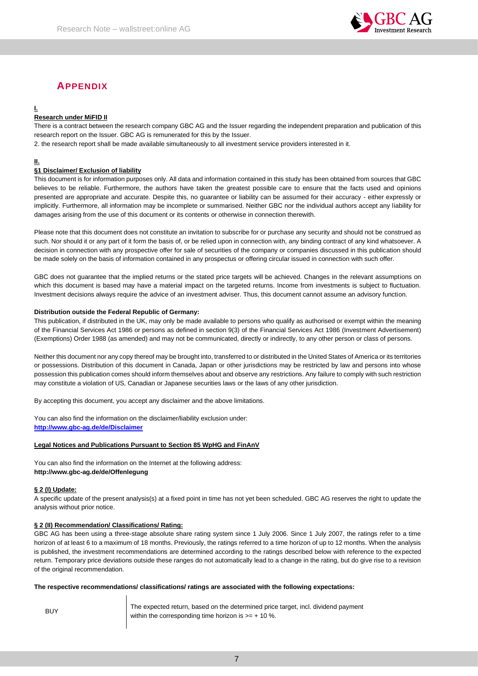

# **APPENDIX**

# **I.**

# **Research under MiFID II**

There is a contract between the research company GBC AG and the Issuer regarding the independent preparation and publication of this research report on the Issuer. GBC AG is remunerated for this by the Issuer.

2. the research report shall be made available simultaneously to all investment service providers interested in it.

### **II.**

# **§1 Disclaimer/ Exclusion of liability**

This document is for information purposes only. All data and information contained in this study has been obtained from sources that GBC believes to be reliable. Furthermore, the authors have taken the greatest possible care to ensure that the facts used and opinions presented are appropriate and accurate. Despite this, no guarantee or liability can be assumed for their accuracy - either expressly or implicitly. Furthermore, all information may be incomplete or summarised. Neither GBC nor the individual authors accept any liability for damages arising from the use of this document or its contents or otherwise in connection therewith.

Please note that this document does not constitute an invitation to subscribe for or purchase any security and should not be construed as such. Nor should it or any part of it form the basis of, or be relied upon in connection with, any binding contract of any kind whatsoever. A decision in connection with any prospective offer for sale of securities of the company or companies discussed in this publication should be made solely on the basis of information contained in any prospectus or offering circular issued in connection with such offer.

GBC does not guarantee that the implied returns or the stated price targets will be achieved. Changes in the relevant assumptions on which this document is based may have a material impact on the targeted returns. Income from investments is subject to fluctuation. Investment decisions always require the advice of an investment adviser. Thus, this document cannot assume an advisory function.

#### **Distribution outside the Federal Republic of Germany:**

This publication, if distributed in the UK, may only be made available to persons who qualify as authorised or exempt within the meaning of the Financial Services Act 1986 or persons as defined in section 9(3) of the Financial Services Act 1986 (Investment Advertisement) (Exemptions) Order 1988 (as amended) and may not be communicated, directly or indirectly, to any other person or class of persons.

Neither this document nor any copy thereof may be brought into, transferred to or distributed in the United States of America or its territories or possessions. Distribution of this document in Canada, Japan or other jurisdictions may be restricted by law and persons into whose possession this publication comes should inform themselves about and observe any restrictions. Any failure to comply with such restriction may constitute a violation of US, Canadian or Japanese securities laws or the laws of any other jurisdiction.

By accepting this document, you accept any disclaimer and the above limitations.

You can also find the information on the disclaimer/liability exclusion under: **[http://www.gbc-ag.de/de/Disclaimer](http://www.gbc-ag.de/de/Disclaimer.htm)**

#### **Legal Notices and Publications Pursuant to Section 85 WpHG and FinAnV**

You can also find the information on the Internet at the following address: **http://www.gbc-ag.de/de/Offenlegung**

#### **§ 2 (I) Update:**

A specific update of the present analysis(s) at a fixed point in time has not yet been scheduled. GBC AG reserves the right to update the analysis without prior notice.

#### **§ 2 (II) Recommendation/ Classifications/ Rating:**

GBC AG has been using a three-stage absolute share rating system since 1 July 2006. Since 1 July 2007, the ratings refer to a time horizon of at least 6 to a maximum of 18 months. Previously, the ratings referred to a time horizon of up to 12 months. When the analysis is published, the investment recommendations are determined according to the ratings described below with reference to the expected return. Temporary price deviations outside these ranges do not automatically lead to a change in the rating, but do give rise to a revision of the original recommendation.

#### **The respective recommendations/ classifications/ ratings are associated with the following expectations:**

BUY The expected return, based on the determined price target, incl. dividend payment within the corresponding time horizon is  $>= + 10$  %.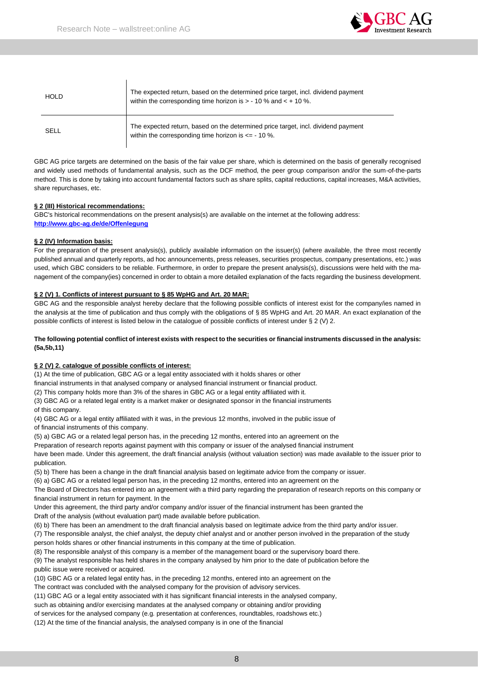$\overline{\phantom{a}}$ 



| <b>HOLD</b> | The expected return, based on the determined price target, incl. dividend payment<br>within the corresponding time horizon is $> -10$ % and $< +10$ %. |
|-------------|--------------------------------------------------------------------------------------------------------------------------------------------------------|
| SELL        | The expected return, based on the determined price target, incl. dividend payment<br>within the corresponding time horizon is $\leq -10$ %.            |

GBC AG price targets are determined on the basis of the fair value per share, which is determined on the basis of generally recognised and widely used methods of fundamental analysis, such as the DCF method, the peer group comparison and/or the sum-of-the-parts method. This is done by taking into account fundamental factors such as share splits, capital reductions, capital increases, M&A activities, share repurchases, etc.

# **§ 2 (III) Historical recommendations:**

GBC's historical recommendations on the present analysis(s) are available on the internet at the following address: **[http://www.gbc-ag.de/de/Offenlegung](http://www.gbc-ag.de/de/Offenlegung.htm)**

# **§ 2 (IV) Information basis:**

For the preparation of the present analysis(s), publicly available information on the issuer(s) (where available, the three most recently published annual and quarterly reports, ad hoc announcements, press releases, securities prospectus, company presentations, etc.) was used, which GBC considers to be reliable. Furthermore, in order to prepare the present analysis(s), discussions were held with the management of the company(ies) concerned in order to obtain a more detailed explanation of the facts regarding the business development.

# **§ 2 (V) 1. Conflicts of interest pursuant to § 85 WpHG and Art. 20 MAR:**

GBC AG and the responsible analyst hereby declare that the following possible conflicts of interest exist for the company/ies named in the analysis at the time of publication and thus comply with the obligations of § 85 WpHG and Art. 20 MAR. An exact explanation of the possible conflicts of interest is listed below in the catalogue of possible conflicts of interest under § 2 (V) 2.

# **The following potential conflict of interest exists with respect to the securities or financial instruments discussed in the analysis: (5a,5b,11)**

# **§ 2 (V) 2. catalogue of possible conflicts of interest:**

(1) At the time of publication, GBC AG or a legal entity associated with it holds shares or other

financial instruments in that analysed company or analysed financial instrument or financial product.

(2) This company holds more than 3% of the shares in GBC AG or a legal entity affiliated with it.

(3) GBC AG or a related legal entity is a market maker or designated sponsor in the financial instruments

of this company.

(4) GBC AG or a legal entity affiliated with it was, in the previous 12 months, involved in the public issue of of financial instruments of this company.

(5) a) GBC AG or a related legal person has, in the preceding 12 months, entered into an agreement on the

Preparation of research reports against payment with this company or issuer of the analysed financial instrument

have been made. Under this agreement, the draft financial analysis (without valuation section) was made available to the issuer prior to publication.

(5) b) There has been a change in the draft financial analysis based on legitimate advice from the company or issuer.

(6) a) GBC AG or a related legal person has, in the preceding 12 months, entered into an agreement on the

The Board of Directors has entered into an agreement with a third party regarding the preparation of research reports on this company or financial instrument in return for payment. In the

Under this agreement, the third party and/or company and/or issuer of the financial instrument has been granted the Draft of the analysis (without evaluation part) made available before publication.

(6) b) There has been an amendment to the draft financial analysis based on legitimate advice from the third party and/or issuer.

(7) The responsible analyst, the chief analyst, the deputy chief analyst and or another person involved in the preparation of the study person holds shares or other financial instruments in this company at the time of publication.

(8) The responsible analyst of this company is a member of the management board or the supervisory board there.

(9) The analyst responsible has held shares in the company analysed by him prior to the date of publication before the public issue were received or acquired.

(10) GBC AG or a related legal entity has, in the preceding 12 months, entered into an agreement on the

The contract was concluded with the analysed company for the provision of advisory services.

(11) GBC AG or a legal entity associated with it has significant financial interests in the analysed company,

such as obtaining and/or exercising mandates at the analysed company or obtaining and/or providing

of services for the analysed company (e.g. presentation at conferences, roundtables, roadshows etc.)

(12) At the time of the financial analysis, the analysed company is in one of the financial